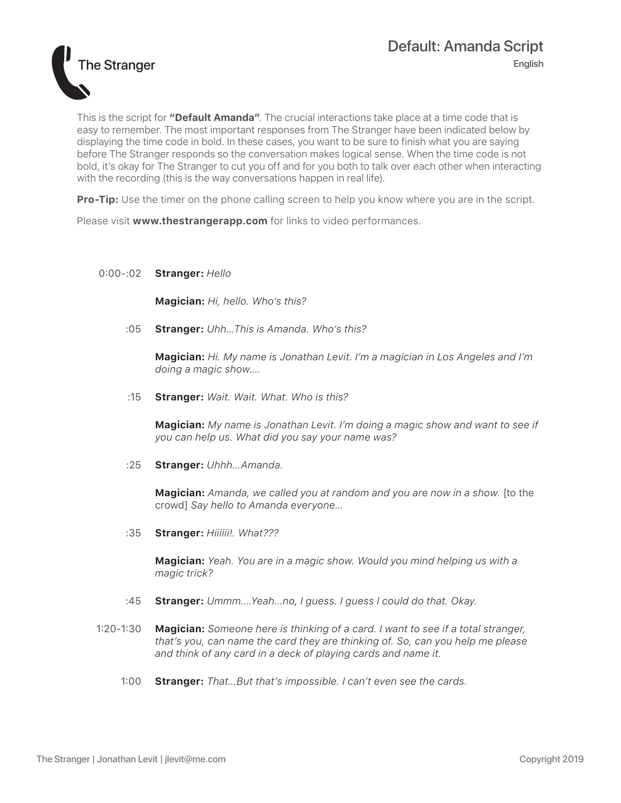

This is the script for **"Default Amanda"**. The crucial interactions take place at a time code that is easy to remember. The most important responses from The Stranger have been indicated below by displaying the time code in bold. In these cases, you want to be sure to finish what you are saying before The Stranger responds so the conversation makes logical sense. When the time code is not bold, it's okay for The Stranger to cut you off and for you both to talk over each other when interacting with the recording (this is the way conversations happen in real life).

**Pro-Tip:** Use the timer on the phone calling screen to help you know where you are in the script.

Please visit **www.thestrangerapp.com** for links to video performances.

## 0:00-:02 **Stranger:** *Hello*

**Magician:** *Hi, hello. Who's this?*

:05 **Stranger:** *Uhh...This is Amanda. Who's this?*

**Magician:** *Hi. My name is Jonathan Levit. I'm a magician in Los Angeles and I'm doing a magic show....*

:15 **Stranger:** *Wait. Wait. What. Who is this?*

**Magician:** *My name is Jonathan Levit. I'm doing a magic show and want to see if you can help us. What did you say your name was?* 

:25 **Stranger:** *Uhhh...Amanda.*

**Magician:** *Amanda, we called you at random and you are now in a show.* [to the crowd] *Say hello to Amanda everyone...*

:35 **Stranger:** *Hiiiiii!. What???*

**Magician:** *Yeah. You are in a magic show. Would you mind helping us with a magic trick?* 

- :45 **Stranger:** *Ummm....Yeah...no, I guess. I guess I could do that. Okay.*
- 1:20-1:30 **Magician:** *Someone here is thinking of a card. I want to see if a total stranger, that's you, can name the card they are thinking of. So, can you help me please and think of any card in a deck of playing cards and name it.*
	- 1:00 **Stranger:** *That...But that's impossible. I can't even see the cards.*